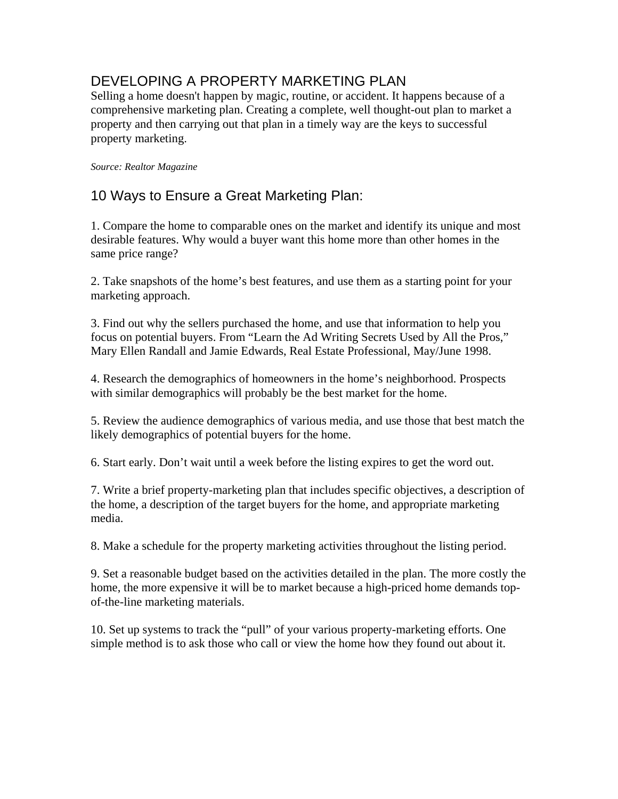# DEVELOPING A PROPERTY MARKETING PLAN

Selling a home doesn't happen by magic, routine, or accident. It happens because of a comprehensive marketing plan. Creating a complete, well thought-out plan to market a property and then carrying out that plan in a timely way are the keys to successful property marketing.

#### *Source: Realtor Magazine*

### 10 Ways to Ensure a Great Marketing Plan:

1. Compare the home to comparable ones on the market and identify its unique and most desirable features. Why would a buyer want this home more than other homes in the same price range?

2. Take snapshots of the home's best features, and use them as a starting point for your marketing approach.

3. Find out why the sellers purchased the home, and use that information to help you focus on potential buyers. From "Learn the Ad Writing Secrets Used by All the Pros," Mary Ellen Randall and Jamie Edwards, Real Estate Professional, May/June 1998.

4. Research the demographics of homeowners in the home's neighborhood. Prospects with similar demographics will probably be the best market for the home.

5. Review the audience demographics of various media, and use those that best match the likely demographics of potential buyers for the home.

6. Start early. Don't wait until a week before the listing expires to get the word out.

7. Write a brief property-marketing plan that includes specific objectives, a description of the home, a description of the target buyers for the home, and appropriate marketing media.

8. Make a schedule for the property marketing activities throughout the listing period.

9. Set a reasonable budget based on the activities detailed in the plan. The more costly the home, the more expensive it will be to market because a high-priced home demands topof-the-line marketing materials.

10. Set up systems to track the "pull" of your various property-marketing efforts. One simple method is to ask those who call or view the home how they found out about it.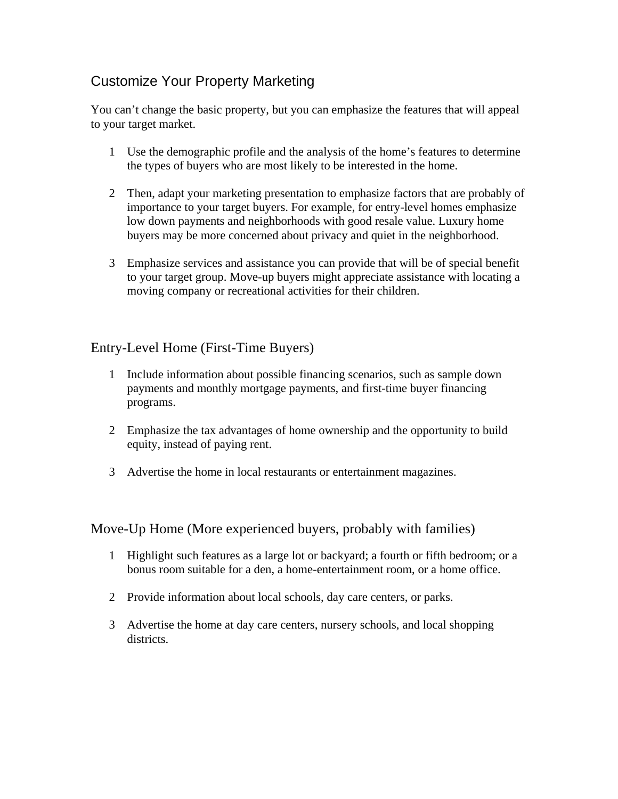# Customize Your Property Marketing

You can't change the basic property, but you can emphasize the features that will appeal to your target market.

- 1 Use the demographic profile and the analysis of the home's features to determine the types of buyers who are most likely to be interested in the home.
- 2 Then, adapt your marketing presentation to emphasize factors that are probably of importance to your target buyers. For example, for entry-level homes emphasize low down payments and neighborhoods with good resale value. Luxury home buyers may be more concerned about privacy and quiet in the neighborhood.
- 3 Emphasize services and assistance you can provide that will be of special benefit to your target group. Move-up buyers might appreciate assistance with locating a moving company or recreational activities for their children.

#### Entry-Level Home (First-Time Buyers)

- 1 Include information about possible financing scenarios, such as sample down payments and monthly mortgage payments, and first-time buyer financing programs.
- 2 Emphasize the tax advantages of home ownership and the opportunity to build equity, instead of paying rent.
- 3 Advertise the home in local restaurants or entertainment magazines.

#### Move-Up Home (More experienced buyers, probably with families)

- 1 Highlight such features as a large lot or backyard; a fourth or fifth bedroom; or a bonus room suitable for a den, a home-entertainment room, or a home office.
- 2 Provide information about local schools, day care centers, or parks.
- 3 Advertise the home at day care centers, nursery schools, and local shopping districts.